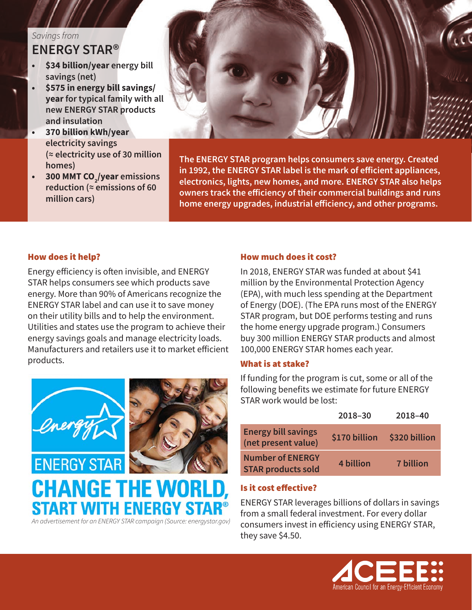## *Savings from* **ENERGY STAR®**

- **• \$34 billion/year energy bill savings (net)**
- **• \$575 in energy bill savings/ year for typical family with all new ENERGY STAR products and insulation**
- **• 370 billion kWh/year electricity savings (≈ electricity use of 30 million homes)**
- **• 300 MMT CO2 /year emissions reduction (≈ emissions of 60 million cars)**



**The ENERGY STAR program helps consumers save energy. Created in 1992, the ENERGY STAR label is the mark of efficient appliances, electronics, lights, new homes, and more. ENERGY STAR also helps owners track the efficiency of their commercial buildings and runs home energy upgrades, industrial efficiency, and other programs.** 

### How does it help?

Energy efficiency is often invisible, and ENERGY STAR helps consumers see which products save energy. More than 90% of Americans recognize the ENERGY STAR label and can use it to save money on their utility bills and to help the environment. Utilities and states use the program to achieve their energy savings goals and manage electricity loads. Manufacturers and retailers use it to market efficient products.



*An advertisement for an ENERGY STAR campaign (Source: energystar.gov)*

STAKT WITH ENEKGY

#### How much does it cost?

In 2018, ENERGY STAR was funded at about \$41 million by the Environmental Protection Agency (EPA), with much less spending at the Department of Energy (DOE). (The EPA runs most of the ENERGY STAR program, but DOE performs testing and runs the home energy upgrade program.) Consumers buy 300 million ENERGY STAR products and almost 100,000 ENERGY STAR homes each year.

#### What is at stake?

If funding for the program is cut, some or all of the following benefits we estimate for future ENERGY STAR work would be lost:

|                                                      | 2018-30       | 2018-40          |
|------------------------------------------------------|---------------|------------------|
| <b>Energy bill savings</b><br>(net present value)    | \$170 billion | \$320 billion    |
| <b>Number of ENERGY</b><br><b>STAR products sold</b> | 4 billion     | <b>7 billion</b> |

### Is it cost effective?

ENERGY STAR leverages billions of dollars in savings from a small federal investment. For every dollar consumers invest in efficiency using ENERGY STAR, they save \$4.50.